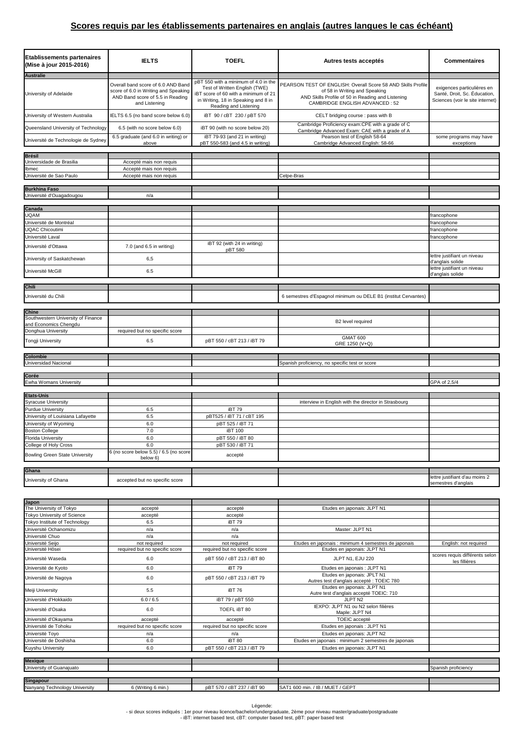## **Scores requis par les établissements partenaires en anglais (autres langues le cas échéant)**

| <b>Etablissements partenaires</b><br>(Mise à jour 2015-2016) | <b>IELTS</b>                                                                                                                    | <b>TOEFL</b>                                                                                                                                                                  | Autres tests acceptés                                                                                                                                                                | <b>Commentaires</b>                                                                            |
|--------------------------------------------------------------|---------------------------------------------------------------------------------------------------------------------------------|-------------------------------------------------------------------------------------------------------------------------------------------------------------------------------|--------------------------------------------------------------------------------------------------------------------------------------------------------------------------------------|------------------------------------------------------------------------------------------------|
| <b>Australie</b>                                             |                                                                                                                                 |                                                                                                                                                                               |                                                                                                                                                                                      |                                                                                                |
| University of Adelaide                                       | Overall band score of 6.0 AND Band<br>score of 6.0 in Writing and Speaking<br>AND Band score of 5.5 in Reading<br>and Listening | pBT 550 with a minimum of 4.0 in the<br>Test of Written English (TWE)<br>iBT score of 60 with a minimum of 21<br>in Writing, 18 in Speaking and 8 in<br>Reading and Listening | PEARSON TEST OF ENGLISH: Overall Score 58 AND Skills Profile<br>of 58 in Writing and Speaking<br>AND Skills Profile of 50 in Reading and Listening<br>CAMBRIDGE ENGLISH ADVANCED: 52 | exigences particulières en<br>Santé, Droit, Sc. Éducation,<br>Sciences (voir le site internet) |
| University of Western Australia                              | IELTS 6.5 (no band score below 6.0)                                                                                             | iBT 90 / cBT 230 / pBT 570                                                                                                                                                    | CELT bridging course : pass with B                                                                                                                                                   |                                                                                                |
| Queensland University of Technology                          | 6.5 (with no score below 6.0)                                                                                                   | iBT 90 (with no score below 20)                                                                                                                                               | Cambridge Proficiency exam:CPE with a grade of C<br>Cambridge Advanced Exam: CAE with a grade of A                                                                                   |                                                                                                |
| Université de Technologie de Sydney                          | 6.5 graduate (and 6.0 in writing) or<br>above                                                                                   | iBT 79-93 (and 21 in writing)<br>pBT 550-583 (and 4.5 in writing)                                                                                                             | Pearson test of English 58-64<br>Cambridge Advanced English: 58-66                                                                                                                   | some programs may have<br>exceptions                                                           |
|                                                              |                                                                                                                                 |                                                                                                                                                                               |                                                                                                                                                                                      |                                                                                                |
| <b>Brésil</b>                                                |                                                                                                                                 |                                                                                                                                                                               |                                                                                                                                                                                      |                                                                                                |
| Universidade de Brasilia                                     | Accepté mais non requis                                                                                                         |                                                                                                                                                                               |                                                                                                                                                                                      |                                                                                                |
| Ibmec<br>Université de Sao Paulo                             | Accepté mais non requis<br>Accepté mais non requis                                                                              |                                                                                                                                                                               | Celpe-Bras                                                                                                                                                                           |                                                                                                |
|                                                              |                                                                                                                                 |                                                                                                                                                                               |                                                                                                                                                                                      |                                                                                                |
| <b>Burkhina Faso</b><br>Université d'Ouagadougou             | n/a                                                                                                                             |                                                                                                                                                                               |                                                                                                                                                                                      |                                                                                                |
|                                                              |                                                                                                                                 |                                                                                                                                                                               |                                                                                                                                                                                      |                                                                                                |
| Canada                                                       |                                                                                                                                 |                                                                                                                                                                               |                                                                                                                                                                                      |                                                                                                |
| <b>UQAM</b>                                                  |                                                                                                                                 |                                                                                                                                                                               |                                                                                                                                                                                      | francophone                                                                                    |
| Jniversité de Montréal                                       |                                                                                                                                 |                                                                                                                                                                               |                                                                                                                                                                                      | rancophone                                                                                     |
| <b>UQAC Chicoutimi</b>                                       |                                                                                                                                 |                                                                                                                                                                               |                                                                                                                                                                                      | francophone                                                                                    |
| Université Laval                                             |                                                                                                                                 |                                                                                                                                                                               |                                                                                                                                                                                      | francophone                                                                                    |
| Université d'Ottawa                                          | 7.0 (and 6.5 in writing)                                                                                                        | iBT 92 (with 24 in writing)<br>pBT 580                                                                                                                                        |                                                                                                                                                                                      |                                                                                                |
| University of Saskatchewan                                   | 6,5                                                                                                                             |                                                                                                                                                                               |                                                                                                                                                                                      | lettre justifiant un niveau<br>d'anglais solide                                                |
| Université McGill                                            | 6.5                                                                                                                             |                                                                                                                                                                               |                                                                                                                                                                                      | lettre justifiant un niveau<br>d'anglais solide                                                |
|                                                              |                                                                                                                                 |                                                                                                                                                                               |                                                                                                                                                                                      |                                                                                                |
| <b>Chili</b>                                                 |                                                                                                                                 |                                                                                                                                                                               |                                                                                                                                                                                      |                                                                                                |
| Université du Chili                                          |                                                                                                                                 |                                                                                                                                                                               | 6 semestres d'Espagnol minimum ou DELE B1 (institut Cervantes)                                                                                                                       |                                                                                                |
| <b>Chine</b>                                                 |                                                                                                                                 |                                                                                                                                                                               |                                                                                                                                                                                      |                                                                                                |
| Southwestern University of Finance                           |                                                                                                                                 |                                                                                                                                                                               |                                                                                                                                                                                      |                                                                                                |
| and Economics Chengdu                                        |                                                                                                                                 |                                                                                                                                                                               | B2 level required                                                                                                                                                                    |                                                                                                |
| Donghua University                                           | required but no specific score                                                                                                  |                                                                                                                                                                               |                                                                                                                                                                                      |                                                                                                |
| Tongji University                                            | 6.5                                                                                                                             | pBT 550 / cBT 213 / iBT 79                                                                                                                                                    | <b>GMAT 600</b><br>GRE 1250 (V+Q)                                                                                                                                                    |                                                                                                |
|                                                              |                                                                                                                                 |                                                                                                                                                                               |                                                                                                                                                                                      |                                                                                                |
| Colombie                                                     |                                                                                                                                 |                                                                                                                                                                               |                                                                                                                                                                                      |                                                                                                |
| Universidad Nacional                                         |                                                                                                                                 |                                                                                                                                                                               | Spanish proficiency, no specific test or score                                                                                                                                       |                                                                                                |
| Corée                                                        |                                                                                                                                 |                                                                                                                                                                               |                                                                                                                                                                                      |                                                                                                |
| Ewha Womans University                                       |                                                                                                                                 |                                                                                                                                                                               |                                                                                                                                                                                      | GPA of 2,5/4                                                                                   |
| <b>Etats-Unis</b>                                            |                                                                                                                                 |                                                                                                                                                                               |                                                                                                                                                                                      |                                                                                                |
| <b>Syracuse University</b>                                   |                                                                                                                                 |                                                                                                                                                                               | interview in English with the director in Strasbourg                                                                                                                                 |                                                                                                |
| <b>Purdue University</b>                                     | 6.5                                                                                                                             | iBT 79                                                                                                                                                                        |                                                                                                                                                                                      |                                                                                                |
| University of Louisiana Lafayette                            | 6.5                                                                                                                             | pBT525 / iBT 71 / cBT 195                                                                                                                                                     |                                                                                                                                                                                      |                                                                                                |
| University of Wyoming                                        | 6.0                                                                                                                             | pBT 525 / iBT 71                                                                                                                                                              |                                                                                                                                                                                      |                                                                                                |
| <b>Boston College</b>                                        | 7.0                                                                                                                             | <b>iBT 100</b>                                                                                                                                                                |                                                                                                                                                                                      |                                                                                                |
| <b>Florida University</b>                                    | 6.0                                                                                                                             | pBT 550 / iBT 80                                                                                                                                                              |                                                                                                                                                                                      |                                                                                                |
| College of Holy Cross                                        | 6.0                                                                                                                             | pBT 530 / iBT 71                                                                                                                                                              |                                                                                                                                                                                      |                                                                                                |
|                                                              | 6 (no score below 5.5) / 6.5 (no score                                                                                          |                                                                                                                                                                               |                                                                                                                                                                                      |                                                                                                |
| <b>Bowling Green State University</b>                        | below 6)                                                                                                                        | accepté                                                                                                                                                                       |                                                                                                                                                                                      |                                                                                                |
| Ghana                                                        |                                                                                                                                 |                                                                                                                                                                               |                                                                                                                                                                                      |                                                                                                |
|                                                              |                                                                                                                                 |                                                                                                                                                                               |                                                                                                                                                                                      | lettre justifiant d'au moins 2                                                                 |
| University of Ghana                                          | accepted but no specific score                                                                                                  |                                                                                                                                                                               |                                                                                                                                                                                      | semestres d'anglais                                                                            |

| Japon                         |                                |                                |                                                                          |                                                 |
|-------------------------------|--------------------------------|--------------------------------|--------------------------------------------------------------------------|-------------------------------------------------|
| The University of Tokyo       | accepté                        | accepté                        | Etudes en japonais: JLPT N1                                              |                                                 |
| Tokyo University of Science   | accepté                        | accepté                        |                                                                          |                                                 |
| Tokyo Institute of Technology | 6.5                            | <b>iBT 79</b>                  |                                                                          |                                                 |
| Université Ochanomizu         | n/a                            | n/a                            | Master: JLPT N1                                                          |                                                 |
| Université Chuo               | n/a                            | n/a                            |                                                                          |                                                 |
| Université Seijo              | not required                   | not required                   | Etudes en japonais : minimum 4 semestres de japonais                     | English: not required                           |
| Université Hôsei              | required but no specific score | required but no specific score | Etudes en japonais: JLPT N1                                              |                                                 |
| Université Waseda             | 6.0                            | pBT 550 / cBT 213 / iBT 80     | JLPT N1, EJU 220                                                         | scores requis différents selon<br>les fillières |
| Université de Kyoto           | 6.0                            | iBT 79                         | Etudes en japonais : JLPT N1                                             |                                                 |
| Université de Nagoya          | 6.0                            | pBT 550 / cBT 213 / iBT 79     | Etudes en japonais: JPLT N1<br>Autres test d'anglais accepté : TOEIC 780 |                                                 |
| Meiji University              | 5.5                            | iBT 76                         | Etudes en japonais: JLPT N1<br>Autre test d'anglais accepté TOEIC: 710   |                                                 |
| Université d'Hokkaido         | 6.0 / 6.5                      | iBT 79 / pBT 550               | JLPT <sub>N2</sub>                                                       |                                                 |
| Université d'Osaka            | 6.0                            | TOEFL IBT 80                   | IEXPO: JLPT N1 ou N2 selon filières<br>Maple: JLPT N4                    |                                                 |
| Université d'Okayama          | accepté                        | accepté                        | TOEIC accepté                                                            |                                                 |
| Université de Tohoku          | required but no specific score | required but no specific score | Etudes en japonais : JLPT N1                                             |                                                 |
| Université Toyo               | n/a                            | n/a                            | Etudes en japonais: JLPT N2                                              |                                                 |
| Université de Doshisha        | 6.0                            | iBT <sub>80</sub>              | Etudes en japonais : minimum 2 semestres de japonais                     |                                                 |
| Kuyshu University             | 6.0                            | pBT 550 / cBT 213 / iBT 79     | Etudes en japonais: JLPT N1                                              |                                                 |
|                               |                                |                                |                                                                          |                                                 |
| <b>Mexique</b>                |                                |                                |                                                                          |                                                 |
| University of Guanajuato      |                                |                                |                                                                          | Spanish proficiency                             |
|                               |                                |                                |                                                                          |                                                 |
| <b>Singapour</b>              |                                |                                |                                                                          |                                                 |
| Nanyang Technology University | 6 (Writing 6 min.)             | pBT 570 / cBT 237 / iBT 90     | SAT1 600 min. / IB / MUET / GEPT                                         |                                                 |

Légende:<br>- si deux scores indiqués : 1er pour niveau licence/bachelor/undergraduate, 2ème pour niveau master/graduate/postgraduate<br>- iBT: internet based test, cBT: computer based test, pBT: paper based test